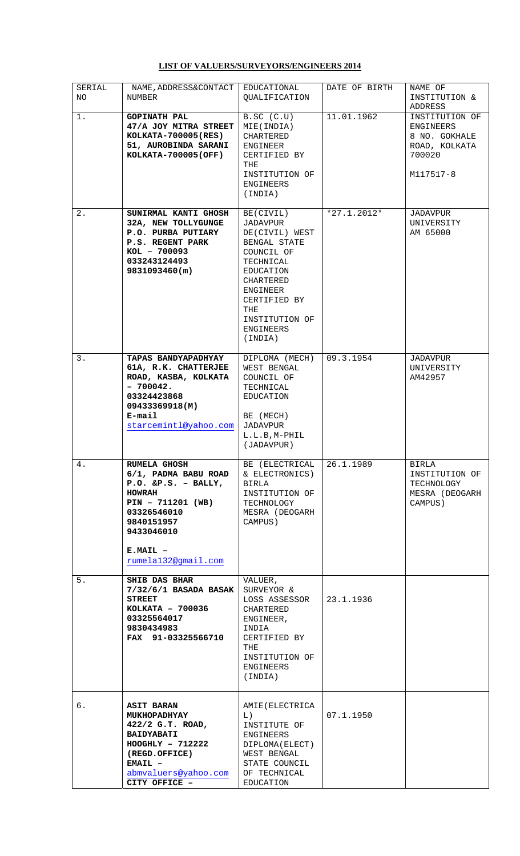## **LIST OF VALUERS/SURVEYORS/ENGINEERS 2014**

| SERIAL<br>NO. | NAME, ADDRESS&CONTACT<br>NUMBER                                                                                                                                                              | EDUCATIONAL<br>QUALIFICATION                                                                                                                                                              | DATE OF BIRTH | NAME OF<br>INSTITUTION &<br>ADDRESS                                                  |
|---------------|----------------------------------------------------------------------------------------------------------------------------------------------------------------------------------------------|-------------------------------------------------------------------------------------------------------------------------------------------------------------------------------------------|---------------|--------------------------------------------------------------------------------------|
| 1.            | <b>GOPINATH PAL</b><br>47/A JOY MITRA STREET<br>KOLKATA-700005(RES)<br>51, AUROBINDA SARANI<br>KOLKATA-700005(OFF)                                                                           | B.SC (C.U)<br>MIE (INDIA)<br>CHARTERED<br>ENGINEER<br>CERTIFIED BY<br>THE<br>INSTITUTION OF<br>ENGINEERS<br>(INDIA)                                                                       | 11.01.1962    | INSTITUTION OF<br>ENGINEERS<br>8 NO. GOKHALE<br>ROAD, KOLKATA<br>700020<br>M117517-8 |
| 2.            | SUNIRMAL KANTI GHOSH<br>32A, NEW TOLLYGUNGE<br><b>P.O. PURBA PUTIARY</b><br><b>P.S. REGENT PARK</b><br>KOL - 700093<br>033243124493<br>9831093460(m)                                         | BE(CIVIL)<br>JADAVPUR<br>DE(CIVIL) WEST<br>BENGAL STATE<br>COUNCIL OF<br>TECHNICAL<br>EDUCATION<br>CHARTERED<br>ENGINEER<br>CERTIFIED BY<br>THE<br>INSTITUTION OF<br>ENGINEERS<br>(INDIA) | $*27.1.2012*$ | JADAVPUR<br>UNIVERSITY<br>AM 65000                                                   |
| 3.            | <b>TAPAS BANDYAPADHYAY</b><br>61A, R.K. CHATTERJEE<br>ROAD, KASBA, KOLKATA<br>$-700042.$<br>03324423868<br>09433369918(M)<br>E-mail<br>starcemintl@yahoo.com                                 | DIPLOMA (MECH)<br>WEST BENGAL<br>COUNCIL OF<br>TECHNICAL<br>EDUCATION<br>BE (MECH)<br>JADAVPUR<br>L.L.B, M-PHIL<br>(JADAVPUR)                                                             | 09.3.1954     | JADAVPUR<br>UNIVERSITY<br>AM42957                                                    |
| 4.            | <b>RUMELA GHOSH</b><br>6/1, PADMA BABU ROAD<br>$P.O.$ &P.S. - BALLY,<br><b>HOWRAH</b><br>$PIN - 711201 (WB)$<br>03326546010<br>9840151957<br>9433046010<br>$E.MAIL -$<br>rumela132@qmail.com | BE (ELECTRICAL<br>& ELECTRONICS)<br>BIRLA<br>INSTITUTION OF<br>TECHNOLOGY<br>MESRA (DEOGARH<br>CAMPUS)                                                                                    | 26.1.1989     | BIRLA<br>INSTITUTION OF<br>TECHNOLOGY<br>MESRA (DEOGARH)<br>CAMPUS)                  |
| 5.            | <b>SHIB DAS BHAR</b><br>7/32/6/1 BASADA BASAK<br><b>STREET</b><br>KOLKATA - 700036<br>03325564017<br>9830434983<br>FAX 91-03325566710                                                        | VALUER,<br>SURVEYOR &<br>LOSS ASSESSOR<br>CHARTERED<br>ENGINEER,<br>INDIA<br>CERTIFIED BY<br>THE<br>INSTITUTION OF<br>ENGINEERS<br>(INDIA)                                                | 23.1.1936     |                                                                                      |
| б.            | <b>ASIT BARAN</b><br><b>MUKHOPADHYAY</b><br>422/2 G.T. ROAD,<br><b>BAIDYABATI</b><br>$HOOGHLY - 712222$<br>(REGD.OFFICE)<br>$EMAIL -$<br>abmvaluers@yahoo.com<br>CITY OFFICE -               | AMIE (ELECTRICA<br>L)<br>INSTITUTE OF<br>ENGINEERS<br>DIPLOMA (ELECT)<br>WEST BENGAL<br>STATE COUNCIL<br>OF TECHNICAL<br>EDUCATION                                                        | 07.1.1950     |                                                                                      |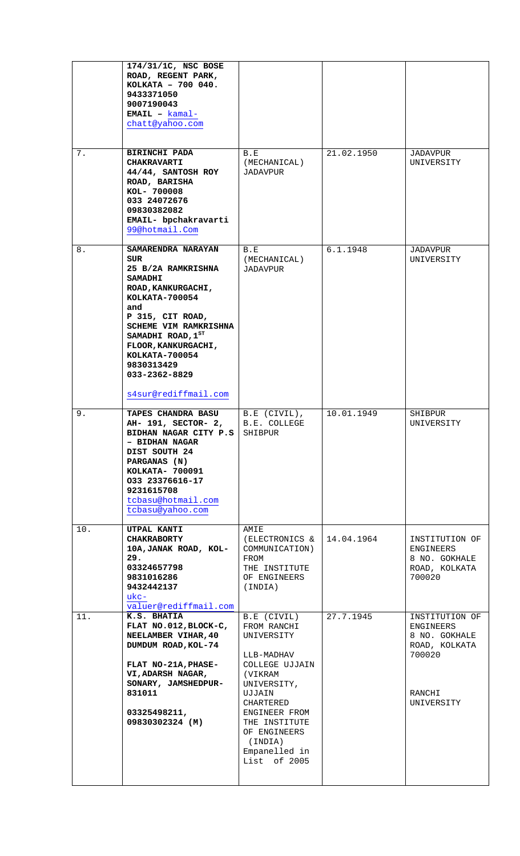|     | 174/31/1C, NSC BOSE<br>ROAD, REGENT PARK,<br>KOLKATA - 700 040.<br>9433371050<br>9007190043<br>$EMAIL - kamal -$<br>chatt@yahoo.com                                                                                                                                                |                                                                                                                                                                                                                         |            |                                                                                                 |
|-----|------------------------------------------------------------------------------------------------------------------------------------------------------------------------------------------------------------------------------------------------------------------------------------|-------------------------------------------------------------------------------------------------------------------------------------------------------------------------------------------------------------------------|------------|-------------------------------------------------------------------------------------------------|
| 7.  | <b>BIRINCHI PADA</b><br><b>CHAKRAVARTI</b><br>44/44, SANTOSH ROY<br>ROAD, BARISHA<br>KOL- 700008<br>033 24072676<br>09830382082<br>EMAIL- bpchakravarti<br>99@hotmail.Com                                                                                                          | B.E<br>(MECHANICAL)<br>JADAVPUR                                                                                                                                                                                         | 21.02.1950 | JADAVPUR<br>UNIVERSITY                                                                          |
| 8.  | SAMARENDRA NARAYAN<br>SUR<br>25 B/2A RAMKRISHNA<br><b>SAMADHI</b><br>ROAD, KANKURGACHI,<br>KOLKATA-700054<br>and<br>P 315, CIT ROAD,<br>SCHEME VIM RAMKRISHNA<br>SAMADHI ROAD, 1ST<br>FLOOR, KANKURGACHI,<br>KOLKATA-700054<br>9830313429<br>033-2362-8829<br>s4sur@rediffmail.com | B.E<br>(MECHANICAL)<br>JADAVPUR                                                                                                                                                                                         | 6.1.1948   | JADAVPUR<br>UNIVERSITY                                                                          |
| 9.  | <b>TAPES CHANDRA BASU</b><br>AH- 191, SECTOR- 2,<br>BIDHAN NAGAR CITY P.S.<br>- BIDHAN NAGAR<br>DIST SOUTH 24<br>PARGANAS (N)<br>KOLKATA- 700091<br>033 23376616-17<br>9231615708<br>tcbasu@hotmail.com<br>tcbasu@yahoo.com                                                        | B.E (CIVIL),<br>B.E. COLLEGE<br>SHIBPUR                                                                                                                                                                                 | 10.01.1949 | SHIBPUR<br>UNIVERSITY                                                                           |
| 10. | UTPAL KANTI<br><b>CHAKRABORTY</b><br>10A, JANAK ROAD, KOL-<br>29.<br>03324657798<br>9831016286<br>9432442137<br>$ukc-$<br>valuer@rediffmail.com                                                                                                                                    | AMIE<br>(ELECTRONICS &<br>COMMUNICATION)<br>FROM<br>THE INSTITUTE<br>OF ENGINEERS<br>(INDIA)                                                                                                                            | 14.04.1964 | INSTITUTION OF<br>ENGINEERS<br>8 NO. GOKHALE<br>ROAD, KOLKATA<br>700020                         |
| 11. | K.S. BHATIA<br>FLAT NO.012, BLOCK-C,<br>NEELAMBER VIHAR, 40<br>DUMDUM ROAD, KOL-74<br>FLAT NO-21A, PHASE-<br>VI, ADARSH NAGAR,<br>SONARY, JAMSHEDPUR-<br>831011<br>03325498211,<br>09830302324 (M)                                                                                 | B.E (CIVIL)<br>FROM RANCHI<br>UNIVERSITY<br>LLB-MADHAV<br>COLLEGE UJJAIN<br>(VIKRAM<br>UNIVERSITY,<br>UJJAIN<br>CHARTERED<br>ENGINEER FROM<br>THE INSTITUTE<br>OF ENGINEERS<br>(INDIA)<br>Empanelled in<br>List of 2005 | 27.7.1945  | INSTITUTION OF<br>ENGINEERS<br>8 NO. GOKHALE<br>ROAD, KOLKATA<br>700020<br>RANCHI<br>UNIVERSITY |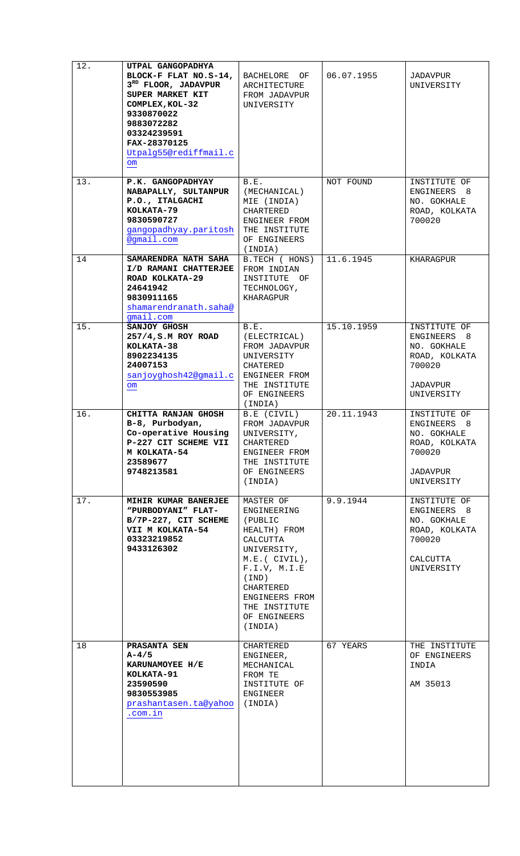|     | UTPAL GANGOPADHYA<br>BLOCK-F FLAT NO.S-14, BACHELORE OF<br>$3RD$ FLOOR, JADAVPUR<br>SUPER MARKET KIT<br>COMPLEX, KOL-32<br>9330870022<br>9883072282<br>03324239591<br>FAX-28370125<br>Utpalg55@rediffmail.c<br>$\mathsf{om}$ | ARCHITECTURE<br>FROM JADAVPUR<br>UNIVERSITY                                                                                                                                                            | 06.07.1955 | JADAVPUR<br>UNIVERSITY                                                                          |
|-----|------------------------------------------------------------------------------------------------------------------------------------------------------------------------------------------------------------------------------|--------------------------------------------------------------------------------------------------------------------------------------------------------------------------------------------------------|------------|-------------------------------------------------------------------------------------------------|
| 13. | P.K. GANGOPADHYAY<br>NABAPALLY, SULTANPUR<br>P.O., ITALGACHI<br>KOLKATA-79<br>9830590727<br>gangopadhyay.paritosh<br>@gmail.com                                                                                              | B.E.<br>(MECHANICAL)<br>MIE (INDIA)<br>CHARTERED<br>ENGINEER FROM<br>THE INSTITUTE<br>OF ENGINEERS<br>(INDIA)                                                                                          | NOT FOUND  | INSTITUTE OF<br>ENGINEERS 8<br>NO. GOKHALE<br>ROAD, KOLKATA<br>700020                           |
| 14  | <b>SAMARENDRA NATH SAHA</b><br>I/D RAMANI CHATTERJEE<br>ROAD KOLKATA-29<br>24641942<br>9830911165<br>shamarendranath.saha@<br>gmail.com                                                                                      | B.TECH (HONS)<br>FROM INDIAN<br>INSTITUTE OF<br>TECHNOLOGY,<br>KHARAGPUR                                                                                                                               | 11.6.1945  | KHARAGPUR                                                                                       |
| 15. | SANJOY GHOSH<br>257/4, S.M ROY ROAD<br>KOLKATA-38<br>8902234135<br>24007153<br>sanjoyghosh42@gmail.c<br>$\mathsf{om}$                                                                                                        | B.E.<br>(ELECTRICAL)<br>FROM JADAVPUR<br>UNIVERSITY<br>CHATERED<br>ENGINEER FROM<br>THE INSTITUTE<br>OF ENGINEERS<br>(INDIA)                                                                           | 15.10.1959 | INSTITUTE OF<br>ENGINEERS 8<br>NO. GOKHALE<br>ROAD, KOLKATA<br>700020<br>JADAVPUR<br>UNIVERSITY |
| 16. | CHITTA RANJAN GHOSH<br>B-8, Purbodyan,<br>Co-operative Housing<br>P-227 CIT SCHEME VII<br>M KOLKATA-54<br>23589677<br>9748213581                                                                                             | B.E (CIVIL)<br>FROM JADAVPUR<br>UNIVERSITY,<br>CHARTERED<br>ENGINEER FROM<br>THE INSTITUTE<br>OF ENGINEERS<br>(INDIA)                                                                                  | 20.11.1943 | INSTITUTE OF<br>ENGINEERS 8<br>NO. GOKHALE<br>ROAD, KOLKATA<br>700020<br>JADAVPUR<br>UNIVERSITY |
| 17. | MIHIR KUMAR BANERJEE<br>"PURBODYANI" FLAT-<br>B/7P-227, CIT SCHEME<br>VII M KOLKATA-54<br>03323219852<br>9433126302                                                                                                          | MASTER OF<br>ENGINEERING<br>(PUBLIC<br>HEALTH) FROM<br>CALCUTTA<br>UNIVERSITY,<br>$M.E. (CIVIL)$ ,<br>F.I.V, M.I.E<br>(IND)<br>CHARTERED<br>ENGINEERS FROM<br>THE INSTITUTE<br>OF ENGINEERS<br>(INDIA) | 9.9.1944   | INSTITUTE OF<br>ENGINEERS 8<br>NO. GOKHALE<br>ROAD, KOLKATA<br>700020<br>CALCUTTA<br>UNIVERSITY |
| 18  | PRASANTA SEN<br>A-4/5<br>KARUNAMOYEE H/E<br>KOLKATA-91<br>23590590<br>9830553985<br>prashantasen.ta@yahoo<br>.com.in                                                                                                         | CHARTERED<br>ENGINEER,<br>MECHANICAL<br>FROM TE<br>INSTITUTE OF<br>ENGINEER<br>(INDIA)                                                                                                                 | 67 YEARS   | THE INSTITUTE<br>OF ENGINEERS<br>INDIA<br>AM 35013                                              |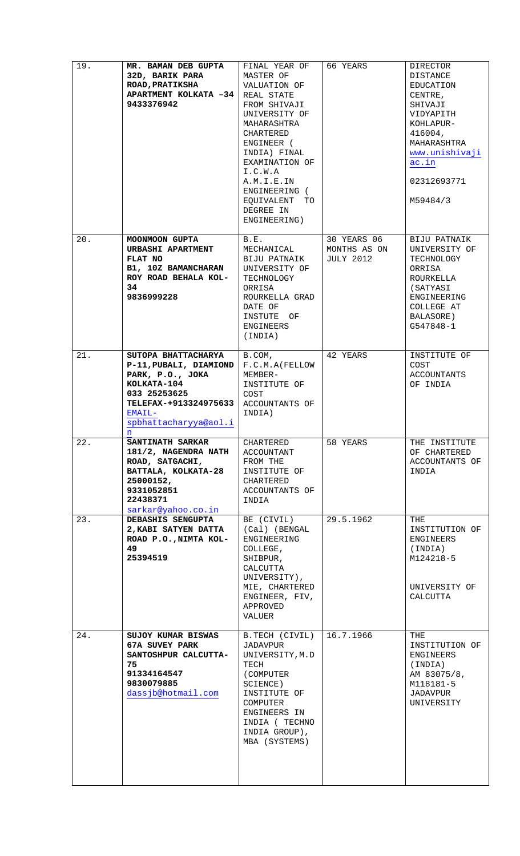| 19. | MR. BAMAN DEB GUPTA<br>32D, BARIK PARA<br><b>ROAD, PRATIKSHA</b><br>APARTMENT KOLKATA -34   REAL STATE<br>9433376942                                              | FINAL YEAR OF<br>MASTER OF<br>VALUATION OF<br>FROM SHIVAJI<br>UNIVERSITY OF<br>MAHARASHTRA<br>CHARTERED<br>ENGINEER (<br>INDIA) FINAL<br>EXAMINATION OF<br>I.C.W.A<br>A.M.I.E.IN<br>ENGINEERING (<br>EQUIVALENT<br>TO<br>DEGREE IN<br>ENGINEERING) | 66 YEARS                                 | DIRECTOR<br>DISTANCE<br>EDUCATION<br>CENTRE,<br>SHIVAJI<br>VIDYAPITH<br>KOHLAPUR-<br>416004,<br>MAHARASHTRA<br>www.unishivaji<br>ac.in<br>02312693771<br>M59484/3 |
|-----|-------------------------------------------------------------------------------------------------------------------------------------------------------------------|----------------------------------------------------------------------------------------------------------------------------------------------------------------------------------------------------------------------------------------------------|------------------------------------------|-------------------------------------------------------------------------------------------------------------------------------------------------------------------|
| 20. | MOONMOON GUPTA<br>URBASHI APARTMENT<br>FLAT NO<br>B1, 10Z BAMANCHARAN<br>ROY ROAD BEHALA KOL-<br>34<br>9836999228                                                 | B.E.<br>MECHANICAL<br>BIJU PATNAIK<br>UNIVERSITY OF<br>TECHNOLOGY<br>ORRISA<br>ROURKELLA GRAD<br>DATE OF<br>INSTUTE OF<br>ENGINEERS<br>(INDIA)                                                                                                     | 30 YEARS 06<br>MONTHS AS ON<br>JULY 2012 | BIJU PATNAIK<br>UNIVERSITY OF<br>TECHNOLOGY<br>ORRISA<br>ROURKELLA<br>(SATYASI<br>ENGINEERING<br>COLLEGE AT<br>BALASORE)<br>G547848-1                             |
| 21. | SUTOPA BHATTACHARYA<br>P-11, PUBALI, DIAMIOND<br>PARK, P.O., JOKA<br>KOLKATA-104<br>033 25253625<br>TELEFAX-+913324975633<br>EMAIL-<br>spbhattacharyya@aol.i<br>n | B.COM,<br>F.C.M.A(FELLOW<br>MEMBER-<br>INSTITUTE OF<br>COST<br>ACCOUNTANTS OF<br>INDIA)                                                                                                                                                            | 42 YEARS                                 | INSTITUTE OF<br>COST<br>ACCOUNTANTS<br>OF INDIA                                                                                                                   |
| 22. | <b>SANTINATH SARKAR</b><br>181/2, NAGENDRA NATH<br>ROAD, SATGACHI,<br>BATTALA, KOLKATA-28<br>25000152,<br>9331052851<br>22438371<br>sarkar@yahoo.co.in            | CHARTERED<br>ACCOUNTANT<br>FROM THE<br>INSTITUTE OF<br>CHARTERED<br>ACCOUNTANTS OF<br>INDIA                                                                                                                                                        | 58 YEARS                                 | THE INSTITUTE<br>OF CHARTERED<br>ACCOUNTANTS OF<br>INDIA                                                                                                          |
| 23. | DEBASHIS SENGUPTA<br>2, KABI SATYEN DATTA<br>ROAD P.O., NIMTA KOL-<br>49<br>25394519                                                                              | BE (CIVIL)<br>(Cal) (BENGAL<br>ENGINEERING<br>COLLEGE,<br>SHIBPUR,<br>CALCUTTA<br>UNIVERSITY),<br>MIE, CHARTERED<br>ENGINEER, FIV,<br>APPROVED<br>VALUER                                                                                           | 29.5.1962                                | THE<br>INSTITUTION OF<br>ENGINEERS<br>(INDIA)<br>M124218-5<br>UNIVERSITY OF<br>CALCUTTA                                                                           |
| 24. | SUJOY KUMAR BISWAS<br>67A SUVEY PARK<br>SANTOSHPUR CALCUTTA-<br>75<br>91334164547<br>9830079885<br>dassjb@hotmail.com                                             | B.TECH (CIVIL)<br>JADAVPUR<br>UNIVERSITY, M.D<br>TECH<br>(COMPUTER<br>SCIENCE)<br>INSTITUTE OF<br>COMPUTER<br>ENGINEERS IN<br>INDIA (TECHNO<br>INDIA GROUP),<br>MBA (SYSTEMS)                                                                      | 16.7.1966                                | THE<br>INSTITUTION OF<br>ENGINEERS<br>(INDIA)<br>AM 83075/8,<br>M118181-5<br>JADAVPUR<br>UNIVERSITY                                                               |